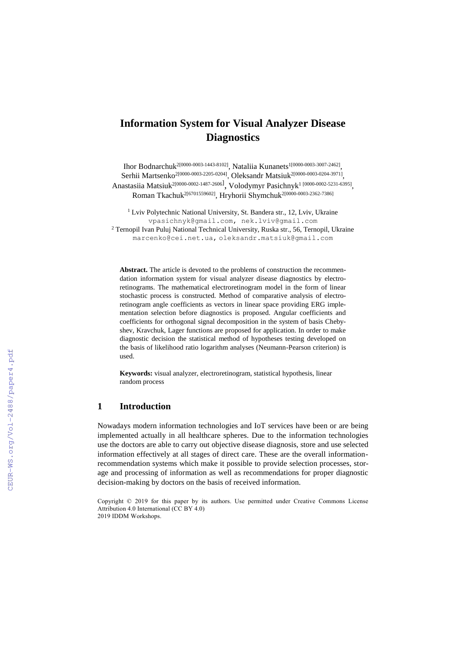# **Information System for Visual Analyzer Disease Diagnostics**

Ihor Bodnarchuk<sup>2[0000-0003-1443-8102]</sup>, Nataliia Kunanets<sup>1[\[0000-0003-3007-2462\]](https://orcid.org/0000-0003-0204-3971),</sup> Serhii Martsenko<sup>2[0000-0003-2205-0204]</sup>, Oleksandr Matsiuk<sup>[2\[0000-0003-0204-3971\]](https://orcid.org/0000-0003-0204-3971)</sup>, Anastasiia Matsiuk<sup>2[0000-0002-1487-2606]</sup>, Volodymyr Pasichnyk<sup>1 [\[0000-0002-5231-6395\]](https://orcid.org/0000-0003-0204-3971)</sup>, Roman Tkachuk<sup>2[6701559602]</sup>, Hryhorii Shymchuk<sup>2[0000-0003-2362-7386]</sup>

<sup>1</sup> Lviv Polytechnic National University, St. Bandera str., 12, Lviv, Ukraine [vpasichnyk@gmail.com,](mailto:vpasichnyk@gmail.com) [nek.lviv@gmail.com](mailto:nek.lviv@gmail.com)

<sup>2</sup> Ternopil Ivan Puluj National Technical University, Ruska str., 56, Ternopil, Ukraine [marcenko@cei.net.ua,](mailto:marcenko@cei.net.ua) oleksandr.matsiuk@gmail.com

**Abstract.** The article is devoted to the problems of construction the recommendation information system for visual analyzer disease diagnostics by electroretinograms. The mathematical electroretinogram model in the form of linear stochastic process is constructed. Method of comparative analysis of electroretinogram angle coefficients as vectors in linear space providing ERG implementation selection before diagnostics is proposed. Angular coefficients and coefficients for orthogonal signal decomposition in the system of basis Chebyshev, Kravchuk, Lager functions are proposed for application. In order to make diagnostic decision the statistical method of hypotheses testing developed on the basis of likelihood ratio logarithm analyses (Neumann-Pearson criterion) is used.

**Keywords:** visual analyzer, electroretinogram, statistical hypothesis, linear random process

### **1 Introduction**

Nowadays modern information technologies and IoT services have been or are being implemented actually in all healthcare spheres. Due to the information technologies use the doctors are able to carry out objective disease diagnosis, store and use selected information effectively at all stages of direct care. These are the overall informationrecommendation systems which make it possible to provide selection processes, storage and processing of information as well as recommendations for proper diagnostic decision-making by doctors on the basis of received information.

Copyright © 2019 for this paper by its authors. Use permitted under Creative Commons License Attribution 4.0 International (CC BY 4.0) 2019 IDDM Workshops.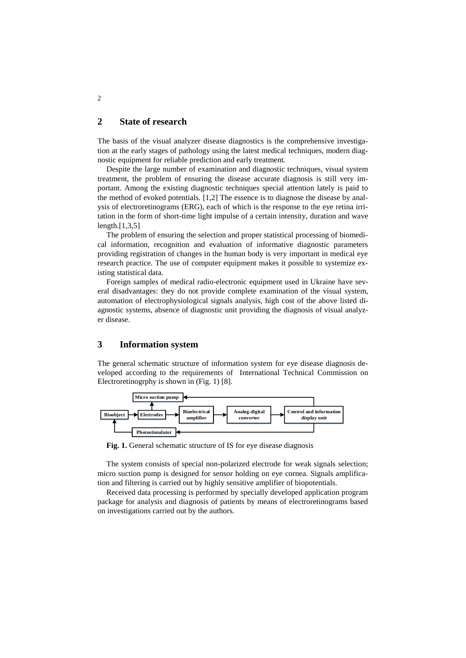### **2 State of research**

The basis of the visual analyzer disease diagnostics is the comprehensive investigation at the early stages of pathology using the latest medical techniques, modern diagnostic equipment for reliable prediction and early treatment.

Despite the large number of examination and diagnostic techniques, visual system treatment, the problem of ensuring the disease accurate diagnosis is still very important. Among the existing diagnostic techniques special attention lately is paid to the method of evoked potentials. [1,2] The essence is to diagnose the disease by analysis of electroretinograms (ERG), each of which is the response to the eye retina irritation in the form of short-time light impulse of a certain intensity, duration and wave length.[1,3,5]

The problem of ensuring the selection and proper statistical processing of biomedical information, recognition and evaluation of informative diagnostic parameters providing registration of changes in the human body is very important in medical eye research practice. The use of computer equipment makes it possible to systemize existing statistical data.

Foreign samples of medical radio-electronic equipment used in Ukraine have several disadvantages: they do not provide complete examination of the visual system, automation of electrophysiological signals analysis, high cost of the above listed diagnostic systems, absence of diagnostic unit providing the diagnosis of visual analyzer disease.

### **3 Information system**

The general schematic structure of information system for eye disease diagnosis developed according to the requirements of International Technical Commission on Electroretinogrphy is shown in (Fig. 1) [8].



Fig. 1. General schematic structure of IS for eye disease diagnosis

The system consists of special non-polarized electrode for weak signals selection; micro suction pump is designed for sensor holding on eye cornea. Signals amplification and filtering is carried out by highly sensitive amplifier of biopotentials.

Received data processing is performed by specially developed application program package for analysis and diagnosis of patients by means of electroretinograms based on investigations carried out by the authors.

2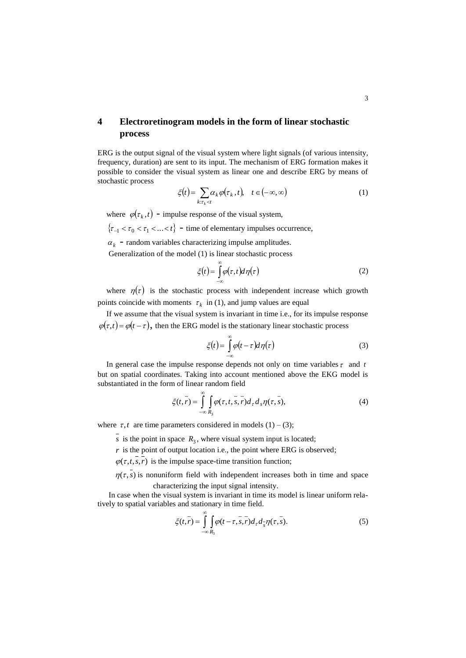## **4 Electroretinogram models in the form of linear stochastic process**

ERG is the output signal of the visual system where light signals (of various intensity, frequency, duration) are sent to its input. The mechanism of ERG formation makes it possible to consider the visual system as linear one and describe ERG by means of stochastic process

$$
\xi(t) = \sum_{k:\tau_k < t} \alpha_k \varphi(\tau_k, t), \quad t \in (-\infty, \infty) \tag{1}
$$

where  $\varphi(\tau_k, t)$  - impulse response of the visual system,

 $\{\tau_{-1} < \tau_0 < \tau_1 < ... < t\}$  - time of elementary impulses occurrence,

 $\alpha_k$  - random variables characterizing impulse amplitudes.

Generalization of the model (1) is linear stochastic process

$$
\xi(t) = \int_{-\infty}^{\infty} \varphi(\tau, t) d\eta(\tau) \tag{2}
$$

where  $\eta(\tau)$  is the stochastic process with independent increase which growth points coincide with moments  $\tau_k$  in (1), and jump values are equal

If we assume that the visual system is invariant in time i.e., for its impulse response  $\varphi(\tau,t) = \varphi(t-\tau)$ , then the ERG model is the stationary linear stochastic process

$$
\xi(t) = \int_{-\infty}^{\infty} \varphi(t - \tau) d\eta(\tau) \tag{3}
$$

In general case the impulse response depends not only on time variables  $\tau$  and t but on spatial coordinates. Taking into account mentioned above the EKG model is substantiated in the form of linear random field

$$
\xi(t,\overline{r}) = \int_{-\infty}^{\infty} \int_{R_3} \varphi(\tau,t,\overline{s},\overline{r}) d_{\tau} d_{s} \eta(\tau,\overline{s}), \tag{4}
$$

where  $\tau$ , *t* are time parameters considered in models (1) – (3);

*s* is the point in space  $R_3$ , where visual system input is located;

*r* is the point of output location i.e., the point where ERG is observed;

- $\varphi(\tau, t, s, r)$  is the impulse space-time transition function;
- $\eta(\tau, s)$  is nonuniform field with independent increases both in time and space characterizing the input signal intensity.

In case when the visual system is invariant in time its model is linear uniform relatively to spatial variables and stationary in time field.

$$
\xi(t,\bar{r}) = \int_{-\infty}^{\infty} \int_{R_3} \varphi(t-\tau,\bar{s},\bar{r}) d_{\tau} d_{\bar{s}} \eta(\tau,\bar{s}). \tag{5}
$$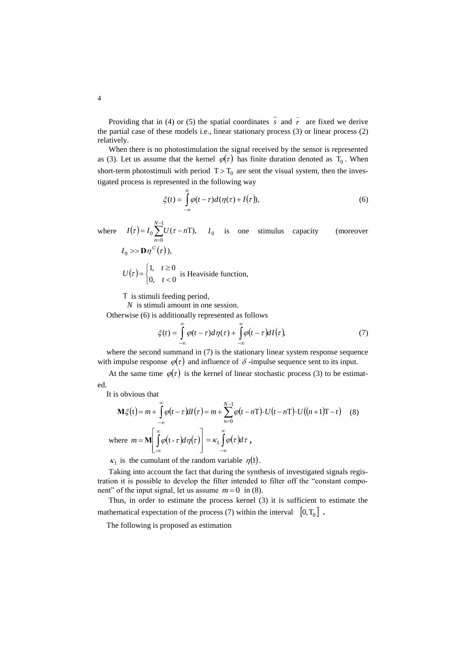Providing that in (4) or (5) the spatial coordinates  $s$  and  $r$  are fixed we derive the partial case of these models i.e., linear stationary process (3) or linear process (2) relatively.

When there is no photostimulation the signal received by the sensor is represented as (3). Let us assume that the kernel  $\varphi(\tau)$  has finite duration denoted as  $T_0$ . When short-term photostimuli with period  $T > T_0$  are sent the visual system, then the investigated process is represented in the following way

$$
\xi(t) = \int_{-\infty}^{\infty} \varphi(t-\tau) d(\eta(\tau) + I(\tau)),
$$
\n(6)

where  $I(\tau) = I_0 \sum_{ }^{\infty}$ =  $= I_0 \sum U(\tau - nT)$ 1 0  $_0$   $\sum U(\tau-nT)$ , *N*  $I(\tau) = I_0$   $\sum U(\tau - nT)$ ,  $I_0$  is one stimulus capacity (moreover  $I_0 \gg D\eta^{\mathbb{O}}(\tau)$ ),

$$
U(\tau) = \begin{cases} 1, & t \ge 0 \\ 0, & t < 0 \end{cases}
$$
 is Heaviside function,

T is stimuli feeding period,

*N* is stimuli amount in one session.

Otherwise (6) is additionally represented as follows

$$
\xi(t) = \int_{-\infty}^{\infty} \varphi(t-\tau) d\eta(\tau) + \int_{-\infty}^{\infty} \varphi(t-\tau) dI(\tau), \tag{7}
$$

where the second summand in (7) is the stationary linear system response sequence with impulse response  $\varphi(\tau)$  and influence of  $\delta$ -impulse sequence sent to its input.

At the same time  $\varphi(\tau)$  is the kernel of linear stochastic process (3) to be estimated.

It is obvious that

$$
\mathbf{M}\xi(t) = m + \int_{-\infty}^{\infty} \varphi(t-\tau) dI(\tau) = m + \sum_{n=0}^{N-1} \varphi(t-nT) \cdot U(t-nT) \cdot U((n+1)T-t)
$$
(8)  
where  $m = \mathbf{M} \left[ \int_{-\infty}^{\infty} \varphi(t-\tau) d\eta(\tau) \right] = \kappa_1 \int_{-\infty}^{\infty} \varphi(\tau) d\tau$ ,

 $\kappa_1$  is the cumulant of the random variable  $\eta(1)$ .

Taking into account the fact that during the synthesis of investigated signals registration it is possible to develop the filter intended to filter off the "constant component" of the input signal, let us assume  $m = 0$  in (8).

Thus, in order to estimate the process kernel (3) it is sufficient to estimate the mathematical expectation of the process (7) within the interval  $[0, T_0]$ .

The following is proposed as estimation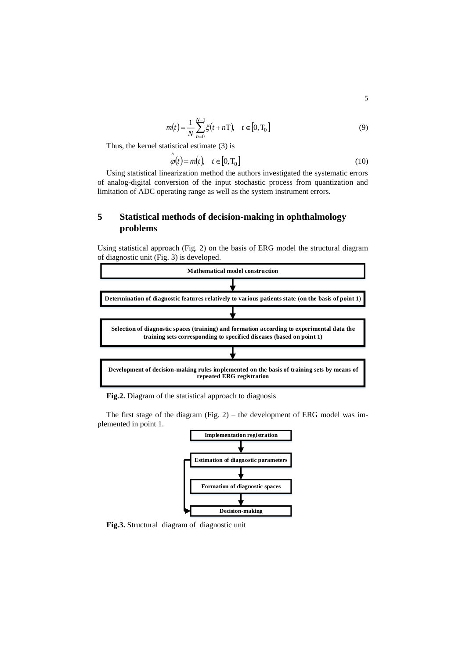$$
m(t) = \frac{1}{N} \sum_{n=0}^{N-1} \xi(t + nT), \quad t \in [0, T_0]
$$
 (9)

Thus, the kernel statistical estimate (3) is  $\wedge$ 

$$
\varphi(t) = m(t), \quad t \in [0, T_0]
$$
\n
$$
(10)
$$

Using statistical linearization method the authors investigated the systematic errors of analog-digital conversion of the input stochastic process from quantization and limitation of ADC operating range as well as the system instrument errors.

# **5 Statistical methods of decision-making in ophthalmology problems**

Using statistical approach (Fig. 2) on the basis of ERG model the structural diagram of diagnostic unit (Fig. 3) is developed.



**Fig.2.** Diagram of the statistical approach to diagnosis

The first stage of the diagram (Fig. 2) – the development of ERG model was implemented in point 1.



**Fig.3.** Structural diagram of diagnostic unit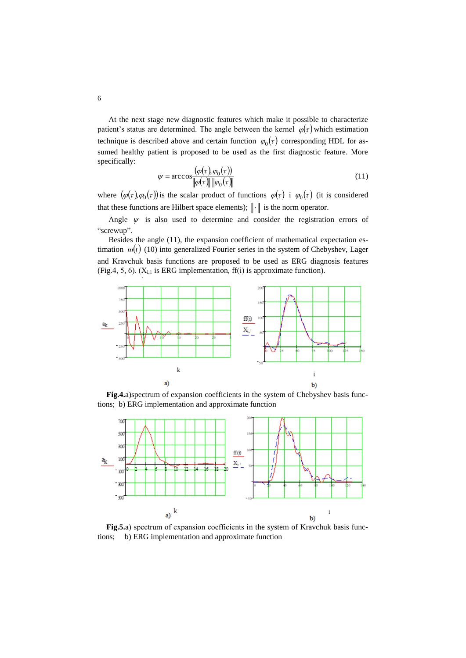At the next stage new diagnostic features which make it possible to characterize patient's status are determined. The angle between the kernel  $\varphi(\tau)$  which estimation technique is described above and certain function  $\varphi_0(\tau)$  corresponding HDL for assumed healthy patient is proposed to be used as the first diagnostic feature. More specifically:

$$
\psi = \arccos\frac{(\varphi(\tau), \varphi_0(\tau))}{\|\varphi(\tau)\| \|\varphi_0(\tau)\|}
$$
\n(11)

where  $(\varphi(\tau), \varphi_0(\tau))$  is the scalar product of functions  $\varphi(\tau)$  i  $\varphi_0(\tau)$  (it is considered that these functions are Hilbert space elements);  $\|\cdot\|$  is the norm operator.

Angle  $\psi$  is also used to determine and consider the registration errors of "screwup".

Besides the angle (11), the expansion coefficient of mathematical expectation estimation *m*(*t*) (10) into generalized Fourier series in the system of Chebyshev, Lager and Kravchuk basis functions are proposed to be used as ERG diagnosis features (Fig.4, 5, 6). ( $X_{i,1}$  is ERG implementation, ff(i) is approximate function).



**Fig.4.**a)spectrum of expansion coefficients in the system of Chebyshev basis functions; b) ERG implementation and approximate function



**Fig.5.**а) spectrum of expansion coefficients in the system of Kravchuk basis functions;b) ERG implementation and approximate function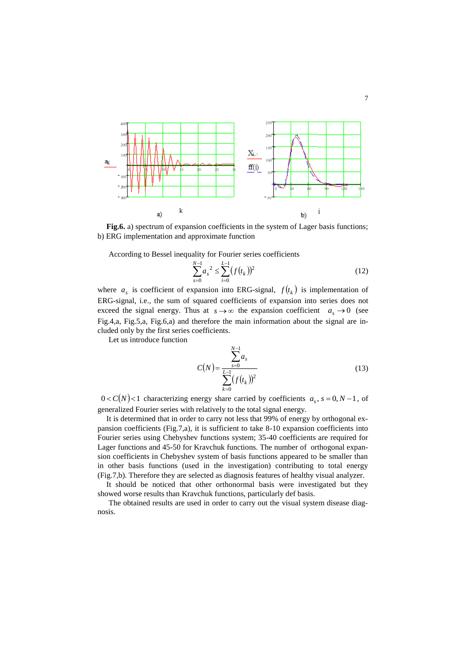

Fig.6. a) spectrum of expansion coefficients in the system of Lager basis functions; b) ERG implementation and approximate function

According to Bessel inequality for Fourier series coefficients

$$
\sum_{s=0}^{N-1} a_s^2 \le \sum_{i=0}^{L-1} (f(t_k))^2 \tag{12}
$$

where  $a_s$  is coefficient of expansion into ERG-signal,  $f(t_k)$  is implementation of ERG-signal, i.e., the sum of squared coefficients of expansion into series does not exceed the signal energy. Thus at  $s \rightarrow \infty$  the expansion coefficient  $a_s \rightarrow 0$  (see Fig.4,a, Fig.5,a, Fig.6,a) and therefore the main information about the signal are included only by the first series coefficients.

Let us introduce function

$$
C(N) = \frac{\sum_{s=0}^{N-1} a_s}{\sum_{k=0}^{L-1} (f(t_k))^2}
$$
(13)

 $0 < C(N) < 1$  characterizing energy share carried by coefficients  $a_s$ ,  $s = 0, N - 1$ , of generalized Fourier series with relatively to the total signal energy.

It is determined that in order to carry not less that 99% of energy by orthogonal expansion coefficients (Fig.7,a), it is sufficient to take 8-10 expansion coefficients into Fourier series using Chebyshev functions system; 35-40 coefficients are required for Lager functions and 45-50 for Kravchuk functions. The number of orthogonal expansion coefficients in Chebyshev system of basis functions appeared to be smaller than in other basis functions (used in the investigation) contributing to total energy (Fig.7,b). Therefore they are selected as diagnosis features of healthy visual analyzer.

It should be noticed that other orthonormal basis were investigated but they showed worse results than Kravchuk functions, particularly def basis.

The obtained results are used in order to carry out the visual system disease diagnosis.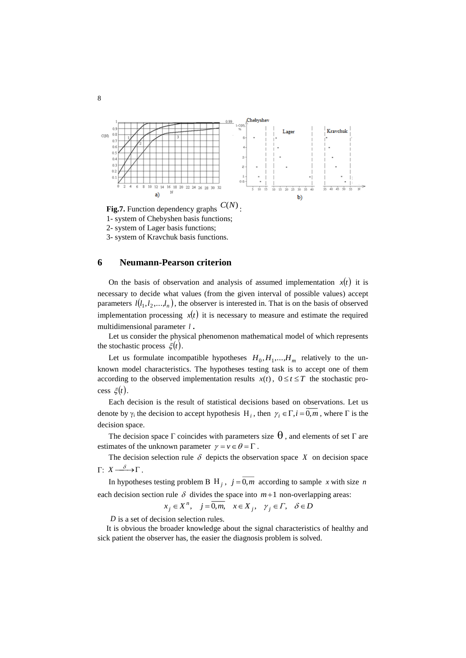

**Fig.7.** Function dependency graphs  $C(N)$ <sub>:</sub>

1- system of Chebyshen basis functions;

2- system of Lager basis functions;

3- system of Kravchuk basis functions.

#### **6 Neumann-Pearson criterion**

On the basis of observation and analysis of assumed implementation  $x(t)$  it is necessary to decide what values (from the given interval of possible values) accept parameters  $l(l_1, l_2, ..., l_n)$ , the observer is interested in. That is on the basis of observed implementation processing  $x(t)$  it is necessary to measure and estimate the required multidimensional parameter *l* **.**

Let us consider the physical phenomenon mathematical model of which represents the stochastic process  $\xi(t)$ .

Let us formulate incompatible hypotheses  $H_0, H_1, \ldots, H_m$  relatively to the unknown model characteristics. The hypotheses testing task is to accept one of them according to the observed implementation results  $x(t)$ ,  $0 \le t \le T$  the stochastic process  $\xi(t)$ .

Each decision is the result of statistical decisions based on observations. Let us denote by  $\gamma_i$  the decision to accept hypothesis H<sub>i</sub>, then  $\gamma_i \in \Gamma, i = 0, m$ , where  $\Gamma$  is the decision space.

The decision space  $\Gamma$  coincides with parameters size  $\Theta$ , and elements of set  $\Gamma$  are estimates of the unknown parameter  $\gamma = v \in \theta = \Gamma$ .

The decision selection rule  $\delta$  depicts the observation space X on decision space  $\Gamma: X \longrightarrow^{\delta} \Gamma$ .

In hypotheses testing problem B  $H_j$ ,  $j = 0, m$  according to sample x with size n each decision section rule  $\delta$  divides the space into  $m+1$  non-overlapping areas:

 $x_j \in X^n$ ,  $j=0,m$ ,  $x \in X_j$ ,  $\gamma_j \in \Gamma$ ,  $\delta \in D$ 

*D* is a set of decision selection rules.

It is obvious the broader knowledge about the signal characteristics of healthy and sick patient the observer has, the easier the diagnosis problem is solved.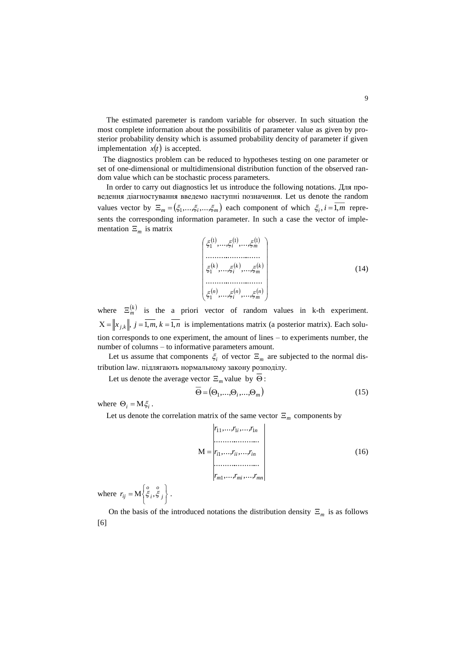The estimated paremeter is random variable for observer. In such situation the most complete information about the possibilitis of parameter value as given by prosterior probability density which is assumed probability dencity of parameter if given implementation  $x(t)$  is accepted.

The diagnostics problem can be reduced to hypotheses testing on one parameter or set of one-dimensional or multidimensional distribution function of the observed random value which can be stochastic process parameters.

In order to carry out diagnostics let us introduce the following notations. Для проведення діагностування введемо наступні позначення. Let us denote the random values vector by  $\Xi_m = (\xi_1, ..., \xi_i, ..., \xi_m)$  each component of which  $\xi_i$ ,  $i = 1, m$  represents the corresponding information parameter. In such a case the vector of implementation  $\Xi_m$  is matrix

$$
\begin{pmatrix}\n\xi_1^{(1)}, \dots, \xi_i^{(1)}, \dots, \xi_m^{(1)} \\
\vdots & \vdots \\
\xi_1^{(k)}, \dots, \xi_i^{(k)}, \dots, \xi_m^{(k)} \\
\vdots & \vdots \\
\xi_1^{(n)}, \dots, \xi_i^{(n)}, \dots, \xi_m^{(n)}\n\end{pmatrix}
$$
\n(14)

where  $\Xi_m^{(k)}$  is the a priori vector of random values in k-th experiment.  $X = \|x_{j,k}\|$ ,  $j = 1, m, k = 1, n$  is implementations matrix (a posterior matrix). Each solution corresponds to one experiment, the amount of lines – to experiments number, the number of columns – to informative parameters amount.

Let us assume that components  $\xi$  of vector  $\Xi_m$  are subjected to the normal distribution law. підлягають нормальному закону розподілу.

Let us denote the average vector  $\Xi_m$  value by  $\Theta$ :

$$
\overline{\Theta} = (\Theta_1, \dots, \Theta_i, \dots, \Theta_m) \tag{15}
$$

where  $\Theta_i = M \xi_i$ .

Let us denote the correlation matrix of the same vector  $\Xi_m$  components by

$$
M = \begin{vmatrix} r_{11}, \dots, r_{1i}, \dots, r_{1n} \\ \dots \\ r_{i1}, \dots, r_{ii}, \dots, r_{in} \\ \dots \\ r_{m1}, \dots, r_{mi}, \dots, r_{mn} \end{vmatrix}
$$
 (16)

where J ⊱ Ì l ∤  $=\mathbf{M} \begin{cases} \rho & \rho \\ \xi_i, \xi_j \end{cases}$ *i*  $r_{ij} = M \left\{ \xi_i, \xi_j \right\}$ .

On the basis of the introduced notations the distribution density  $\Xi_m$  is as follows [6]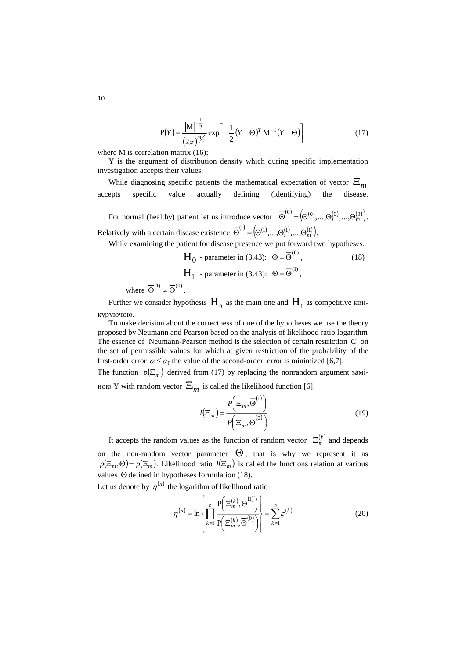$$
P(Y) = \frac{|M|^{-\frac{1}{2}}}{(2\pi)^{m/2}} \exp\left[-\frac{1}{2}(Y-\Theta)^T M^{-1}(Y-\Theta)\right]
$$
(17)

where M is correlation matrix (16);

Y is the argument of distribution density which during specific implementation investigation accepts their values.

While diagnosing specific patients the mathematical expectation of vector  $\Xi_m$ accepts specific value actually defining (identifying) the disease.

For normal (healthy) patient let us introduce vector  $\overline{\Theta}^{(0)} = (\Theta^{(0)},...,\Theta_i^{(0)},...,\Theta_m^{(0)})$ .

Relatively with a certain disease existence  $\overline{\Theta}^{(1)} = (\Theta^{(1)}, ..., \Theta_i^{(1)}, ..., \Theta_m^{(1)})$ . While examining the patient for disease presence we put forward two hypotheses.

$$
H_0 \text{ - parameter in (3.43):} \quad \Theta = \overline{\Theta}^{(0)},
$$
\n
$$
H_1 \text{ - parameter in (3.43):} \quad \Theta = \overline{\Theta}^{(1)},
$$
\n
$$
\overline{\Theta}^{(1)},
$$
\n
$$
\overline{\Theta}^{(2)}
$$
\n
$$
\overline{\Theta}^{(3)}
$$
\n
$$
\overline{\Theta}^{(1)},
$$
\n
$$
\overline{\Theta}^{(3)}
$$
\n
$$
\overline{\Theta}^{(4)}
$$
\n
$$
\overline{\Theta}^{(5)}
$$
\n
$$
\overline{\Theta}^{(6)}
$$
\n
$$
\overline{\Theta}^{(7)}
$$
\n
$$
\overline{\Theta}^{(8)}
$$
\n
$$
\overline{\Theta}^{(9)}
$$
\n
$$
\overline{\Theta}^{(1)}
$$
\n
$$
\overline{\Theta}^{(1)}
$$
\n
$$
\overline{\Theta}^{(1)}
$$
\n
$$
\overline{\Theta}^{(1)}
$$
\n
$$
\overline{\Theta}^{(2)}
$$
\n
$$
\overline{\Theta}^{(3)}
$$
\n
$$
\overline{\Theta}^{(1)}
$$
\n
$$
\overline{\Theta}^{(2)}
$$
\n
$$
\overline{\Theta}^{(3)}
$$
\n
$$
\overline{\Theta}^{(1)}
$$
\n
$$
\overline{\Theta}^{(2)}
$$
\n
$$
\overline{\Theta}^{(3)}
$$
\n
$$
\overline{\Theta}^{(1)}
$$
\n
$$
\overline{\Theta}^{(2)}
$$
\n
$$
\overline{\Theta}^{(3)}
$$
\n
$$
\overline{\Theta}^{(1)}
$$
\n
$$
\overline{\Theta}^{(2)}
$$
\n
$$
\overline{\Theta}^{(1)}
$$
\n
$$
\overline{\Theta}^{(2)}
$$
\n
$$
\overline{\Theta}^{(3)}
$$
\n
$$
\overline{\Theta}^{(1)}
$$
\n
$$
\overline{\Theta}^{(2)}
$$
\n
$$
\overline{\Theta}^{(3)}
$$
\n
$$
\overline{\Theta}^{(1)}
$$
\n
$$
\overline{\Theta}^{(1)}
$$
\n
$$
\overline{\Theta}^{(2)}
$$
\n
$$
\overline{\Theta}^{(3)}
$$

where  $\overline{\Theta}^{(1)} \neq \overline{\Theta}^{(0)}$ .

Further we consider hypothesis  $H_0$  as the main one and  $H_1$  as competitive конкуруючою.

To make decision about the correctness of one of the hypotheses we use the theory proposed by Neumann and Pearson based on the analysis of likelihood ratio logarithm The essence of Neumann-Pearson method is the selection of certain restriction *C* on the set of permissible values for which at given restriction of the probability of the first-order error  $\alpha \le \alpha_0$  the value of the second-order error is minimized [6,7].

The function  $p(\Xi_m)$  derived from (17) by replacing the nonrandom argument заміною Y with random vector  $\Xi_m$  is called the likelihood function [6].

$$
l(\Xi_m) = \frac{P\left(\Xi_m, \overline{\Theta}^{(1)}\right)}{P\left(\Xi_m, \overline{\Theta}^{(0)}\right)}
$$
(19)

It accepts the random values as the function of random vector  $\Xi_m^{(k)}$  and depends on the non-random vector parameter  $\Theta$ , that is why we represent it as  $p(\Xi_m, \Theta) = p(\Xi_m)$ . Likelihood ratio  $l(\Xi_m)$  is called the functions relation at various values  $\Theta$  defined in hypotheses formulation (18).

Let us denote by  $\eta^{(n)}$  the logarithm of likelihood ratio

$$
\eta^{(n)} = \ln \left\{ \prod_{k=1}^{n} \frac{P\left(\Xi_{m}^{(k)}, \overline{\Theta}^{(1)}\right)}{P\left(\Xi_{m}^{(k)}, \overline{\Theta}^{(0)}\right)} \right\} = \sum_{k=1}^{n} \varsigma^{(k)} \tag{20}
$$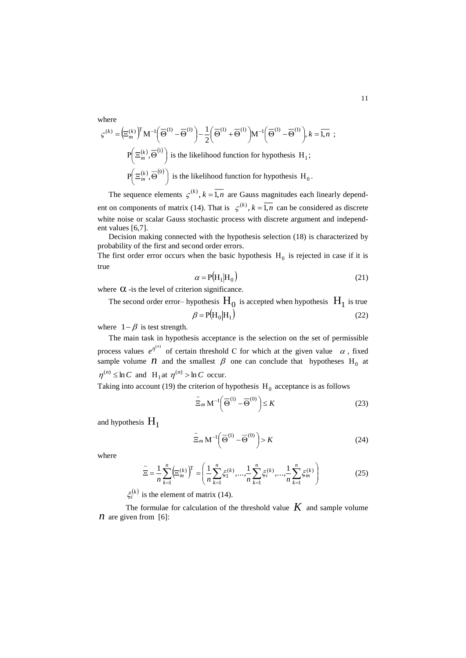where

$$
\zeta^{(k)} = \left(\Xi_m^{(k)}\right)^{\text{T}} \mathbf{M}^{-1} \left(\overline{\Theta}^{(1)} - \overline{\Theta}^{(1)}\right) - \frac{1}{2} \left(\overline{\Theta}^{(1)} + \overline{\Theta}^{(1)}\right) \mathbf{M}^{-1} \left(\overline{\Theta}^{(1)} - \overline{\Theta}^{(1)}\right), k = \overline{1, n}
$$
  
 
$$
\mathbf{P}\left(\Xi_m^{(k)}, \overline{\Theta}^{(1)}\right) \text{ is the likelihood function for hypothesis } \mathbf{H}_1;
$$
  
\n
$$
\mathbf{P}\left(\Xi_m^{(k)}, \overline{\Theta}^{(0)}\right) \text{ is the likelihood function for hypothesis } \mathbf{H}_0.
$$

The sequence elements  $\zeta^{(k)}$ ,  $k = \overline{1,n}$  are Gauss magnitudes each linearly dependent on components of matrix (14). That is  $\zeta^{(k)}$ ,  $k = \overline{1,n}$  can be considered as discrete white noise or scalar Gauss stochastic process with discrete argument and independent values [6,7].

Decision making connected with the hypothesis selection (18) is characterized by probability of the first and second order errors.

The first order error occurs when the basic hypothesis  $H_0$  is rejected in case if it is true  $1 - \frac{1}{2}$ 

$$
\alpha = P(H_1|H_0) \tag{21}
$$

where  $\alpha$  -is the level of criterion significance.

The second order error– hypothesis  $\,{\rm H}_0$  is accepted when hypothesis  $\,{\rm H}_1$  is true  $B = P(H, |H|)$  $(22)$ 

$$
P^{-1}(\mathbf{1}\mathbf{1}_0|\mathbf{1}\mathbf{1}_1)
$$

where  $1-\beta$  is test strength.

The main task in hypothesis acceptance is the selection on the set of permissible process values  $e^{\eta^{(n)}}$  of certain threshold C for which at the given value  $\alpha$ , fixed sample volume  $n$  and the smallest  $\beta$  one can conclude that hypotheses H<sub>0</sub> at  $\eta^{(n)} \leq \ln C$  and  $H_1$  at  $\eta^{(n)} > \ln C$  occur.

Taking into account (19) the criterion of hypothesis  $H_0$  acceptance is as follows

$$
\widetilde{\Xi}_m \, \mathbf{M}^{-1} \bigg( \overline{\Theta}^{(1)} - \overline{\Theta}^{(0)} \bigg) \le K \tag{23}
$$

and hypothesis  $H_1$ 

$$
\widetilde{\Xi}_m \mathbf{M}^{-1} \left( \overline{\Theta}^{(1)} - \overline{\Theta}^{(0)} \right) > K \tag{24}
$$

where

$$
\tilde{\Xi} = \frac{1}{n} \sum_{k=1}^{n} \left( \Xi_{m}^{(k)} \right)^{T} = \left( \frac{1}{n} \sum_{k=1}^{n} \xi_{1}^{(k)}, \dots, \frac{1}{n} \sum_{k=1}^{n} \xi_{i}^{(k)}, \dots, \frac{1}{n} \sum_{k=1}^{n} \xi_{m}^{(k)} \right)
$$
(25)

 $\xi_i^{(k)}$  is the element of matrix (14).

The formulae for calculation of the threshold value  $K$  and sample volume *n* are given from [6]:

;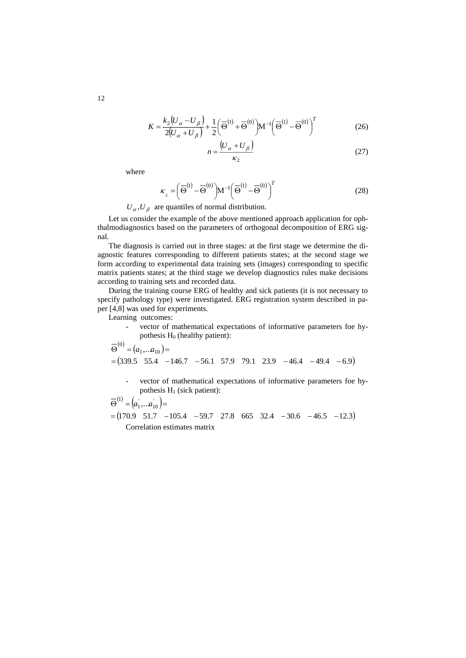$$
K = \frac{k_2 \left( U_\alpha - U_\beta \right)}{2 \left( U_\alpha + U_\beta \right)} + \frac{1}{2} \left( \overline{\Theta}^{(1)} + \overline{\Theta}^{(0)} \right) M^{-1} \left( \overline{\Theta}^{(1)} - \overline{\Theta}^{(0)} \right)^T
$$
(26)

$$
n = \frac{\left(U_{\alpha} + U_{\beta}\right)}{\kappa_2} \tag{27}
$$

where

$$
\kappa_2 = \left(\overline{\Theta}^{(1)} - \overline{\Theta}^{(0)}\right) M^{-1} \left(\overline{\Theta}^{(1)} - \overline{\Theta}^{(0)}\right)^T \tag{28}
$$

 $U_{\alpha}$ ,  $U_{\beta}$  are quantiles of normal distribution.

Let us consider the example of the above mentioned approach application for ophthalmodiagnostics based on the parameters of orthogonal decomposition of ERG signal.

The diagnosis is carried out in three stages: at the first stage we determine the diagnostic features corresponding to different patients states; at the second stage we form according to experimental data training sets (images) corresponding to specific matrix patients states; at the third stage we develop diagnostics rules make decisions according to training sets and recorded data.

During the training course ERG of healthy and sick patients (it is not necessary to specify pathology type) were investigated. ERG registration system described in paper [4,8] was used for experiments.

Learning outcomes:

 $\mathbb{R}^2$ 

- vector of mathematical expectations of informative parameters foe hypothesis  $H_0$  (healthy patient):

$$
\overline{\Theta}^{(0)} = (a_1, \dots, a_{10}) =
$$
  
= (339.5 55.4 -146.7 -56.1 57.9 79.1 23.9 -46.4 -49.4 -6.9)

vector of mathematical expectations of informative parameters foe hypothesis  $H_1$  (sick patient):

$$
\overline{\Theta}^{(1)} = (a_1, a_{10}) =
$$
  
= (170.9 51.7 -105.4 -59.7 27.8 665 32.4 -30.6 -46.5 -12.3)  
Correlation estimates matrix

12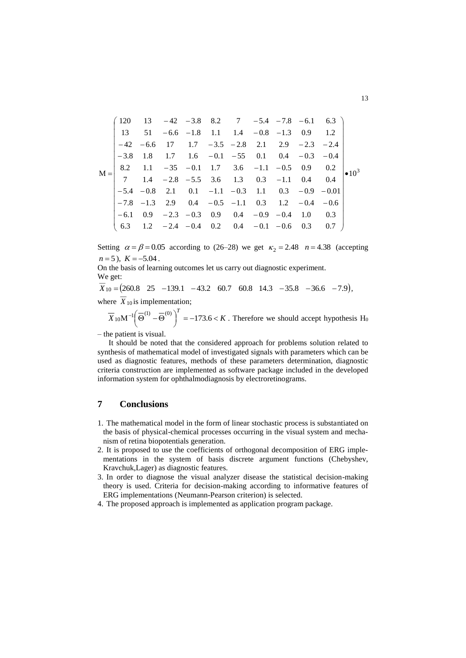$$
M = \begin{pmatrix}\n120 & 13 & -42 & -3.8 & 8.2 & 7 & -5.4 & -7.8 & -6.1 & 6.3 \\
13 & 51 & -6.6 & -1.8 & 1.1 & 1.4 & -0.8 & -1.3 & 0.9 & 1.2 \\
-42 & -6.6 & 17 & 1.7 & -3.5 & -2.8 & 2.1 & 2.9 & -2.3 & -2.4 \\
-3.8 & 1.8 & 1.7 & 1.6 & -0.1 & -55 & 0.1 & 0.4 & -0.3 & -0.4 \\
8.2 & 1.1 & -35 & -0.1 & 1.7 & 3.6 & -1.1 & -0.5 & 0.9 & 0.2 \\
7 & 1.4 & -2.8 & -5.5 & 3.6 & 1.3 & 0.3 & -1.1 & 0.4 & 0.4 \\
-5.4 & -0.8 & 2.1 & 0.1 & -1.1 & -0.3 & 1.1 & 0.3 & -0.9 & -0.01 \\
-7.8 & -1.3 & 2.9 & 0.4 & -0.5 & -1.1 & 0.3 & 1.2 & -0.4 & -0.6 \\
-6.1 & 0.9 & -2.3 & -0.3 & 0.9 & 0.4 & -0.9 & -0.4 & 1.0 & 0.3 \\
6.3 & 1.2 & -2.4 & -0.4 & 0.2 & 0.4 & -0.1 & -0.6 & 0.3 & 0.7\n\end{pmatrix} \bullet \mathbf{103}
$$

Setting  $\alpha = \beta = 0.05$  according to (26–28) we get  $\kappa_2 = 2.48$   $n = 4.38$  (accepting  $n = 5$ ),  $K = -5.04$ .

On the basis of learning outcomes let us carry out diagnostic experiment. We get:

$$
\overline{X}_{10} = (260.8 \quad 25 \quad -139.1 \quad -43.2 \quad 60.7 \quad 60.8 \quad 14.3 \quad -35.8 \quad -36.6 \quad -7.9),
$$

where  $X_{10}$  is implementation;

*X K*  $\int_0^T = -173.6$  $\left(\overline{\Theta}^{(1)}-\overline{\Theta}^{(0)}\right)$  $_{10}M^{-1}(\overline{\Theta}^{(1)} - \overline{\Theta}^{(0)})^T = -173.6 < K$ . Therefore we should accept hypothesis H<sub>0</sub>

– the patient is visual.

It should be noted that the considered approach for problems solution related to synthesis of mathematical model of investigated signals with parameters which can be used as diagnostic features, methods of these parameters determination, diagnostic criteria construction are implemented as software package included in the developed information system for ophthalmodiagnosis by electroretinograms.

### **7 Conclusions**

- 1. The mathematical model in the form of linear stochastic process is substantiated on the basis of physical-chemical processes occurring in the visual system and mechanism of retina biopotentials generation.
- 2. It is proposed to use the coefficients of orthogonal decomposition of ERG implementations in the system of basis discrete argument functions (Chebyshev, Kravchuk,Lager) as diagnostic features.
- 3. In order to diagnose the visual analyzer disease the statistical decision-making theory is used. Criteria for decision-making according to informative features of ERG implementations (Neumann-Pearson criterion) is selected.
- 4. The proposed approach is implemented as application program package.